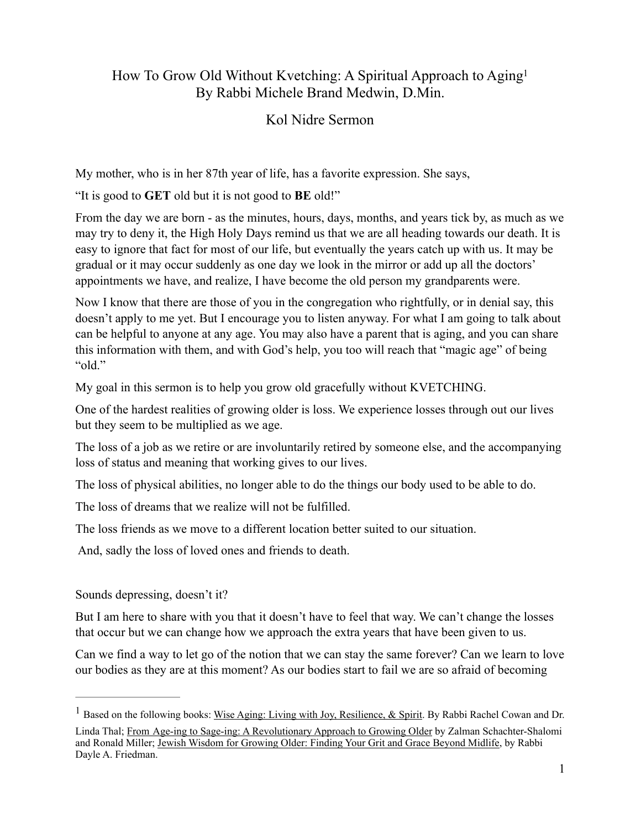### How To Grow Old Without Kvetching: A Spiritual Approach to Agin[g1](#page-0-0) By Rabbi Michele Brand Medwin, D.Min.

### <span id="page-0-1"></span>Kol Nidre Sermon

My mother, who is in her 87th year of life, has a favorite expression. She says,

"It is good to **GET** old but it is not good to **BE** old!"

From the day we are born - as the minutes, hours, days, months, and years tick by, as much as we may try to deny it, the High Holy Days remind us that we are all heading towards our death. It is easy to ignore that fact for most of our life, but eventually the years catch up with us. It may be gradual or it may occur suddenly as one day we look in the mirror or add up all the doctors' appointments we have, and realize, I have become the old person my grandparents were.

Now I know that there are those of you in the congregation who rightfully, or in denial say, this doesn't apply to me yet. But I encourage you to listen anyway. For what I am going to talk about can be helpful to anyone at any age. You may also have a parent that is aging, and you can share this information with them, and with God's help, you too will reach that "magic age" of being "old."

My goal in this sermon is to help you grow old gracefully without KVETCHING.

One of the hardest realities of growing older is loss. We experience losses through out our lives but they seem to be multiplied as we age.

The loss of a job as we retire or are involuntarily retired by someone else, and the accompanying loss of status and meaning that working gives to our lives.

The loss of physical abilities, no longer able to do the things our body used to be able to do.

The loss of dreams that we realize will not be fulfilled.

The loss friends as we move to a different location better suited to our situation.

And, sadly the loss of loved ones and friends to death.

#### Sounds depressing, doesn't it?

But I am here to share with you that it doesn't have to feel that way. We can't change the losses that occur but we can change how we approach the extra years that have been given to us.

Can we find a way to let go of the notion that we can stay the same forever? Can we learn to love our bodies as they are at this moment? As our bodies start to fail we are so afraid of becoming

<span id="page-0-0"></span><sup>&</sup>lt;sup>[1](#page-0-1)</sup> Based on the following books: Wise Aging: Living with Joy, Resilience, & Spirit. By Rabbi Rachel Cowan and Dr.

Linda Thal; From Age-ing to Sage-ing: A Revolutionary Approach to Growing Older by Zalman Schachter-Shalomi and Ronald Miller; Jewish Wisdom for Growing Older: Finding Your Grit and Grace Beyond Midlife, by Rabbi Dayle A. Friedman.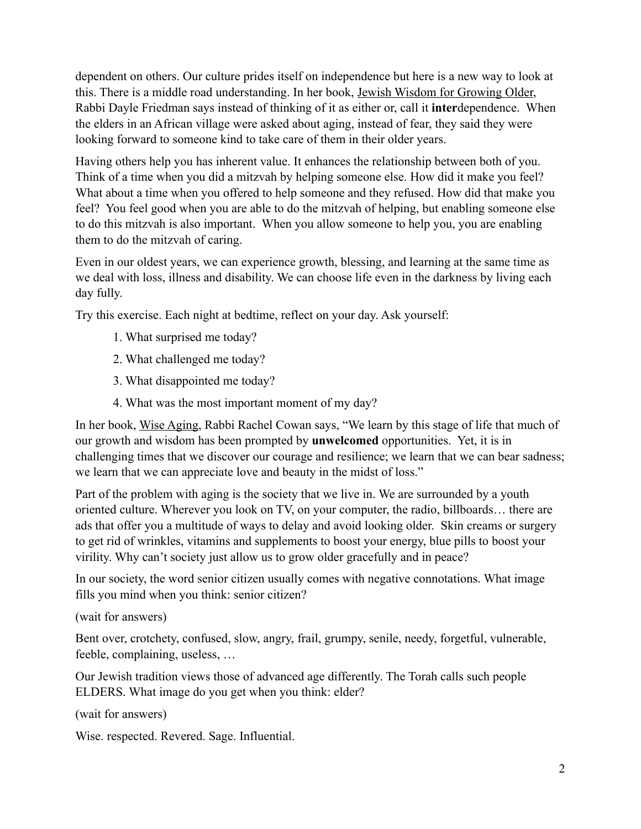dependent on others. Our culture prides itself on independence but here is a new way to look at this. There is a middle road understanding. In her book, Jewish Wisdom for Growing Older, Rabbi Dayle Friedman says instead of thinking of it as either or, call it **inter**dependence. When the elders in an African village were asked about aging, instead of fear, they said they were looking forward to someone kind to take care of them in their older years.

Having others help you has inherent value. It enhances the relationship between both of you. Think of a time when you did a mitzvah by helping someone else. How did it make you feel? What about a time when you offered to help someone and they refused. How did that make you feel? You feel good when you are able to do the mitzvah of helping, but enabling someone else to do this mitzvah is also important. When you allow someone to help you, you are enabling them to do the mitzvah of caring.

Even in our oldest years, we can experience growth, blessing, and learning at the same time as we deal with loss, illness and disability. We can choose life even in the darkness by living each day fully.

Try this exercise. Each night at bedtime, reflect on your day. Ask yourself:

- 1. What surprised me today?
- 2. What challenged me today?
- 3. What disappointed me today?
- 4. What was the most important moment of my day?

In her book, Wise Aging, Rabbi Rachel Cowan says, "We learn by this stage of life that much of our growth and wisdom has been prompted by **unwelcomed** opportunities. Yet, it is in challenging times that we discover our courage and resilience; we learn that we can bear sadness; we learn that we can appreciate love and beauty in the midst of loss."

Part of the problem with aging is the society that we live in. We are surrounded by a youth oriented culture. Wherever you look on TV, on your computer, the radio, billboards… there are ads that offer you a multitude of ways to delay and avoid looking older. Skin creams or surgery to get rid of wrinkles, vitamins and supplements to boost your energy, blue pills to boost your virility. Why can't society just allow us to grow older gracefully and in peace?

In our society, the word senior citizen usually comes with negative connotations. What image fills you mind when you think: senior citizen?

(wait for answers)

Bent over, crotchety, confused, slow, angry, frail, grumpy, senile, needy, forgetful, vulnerable, feeble, complaining, useless, …

Our Jewish tradition views those of advanced age differently. The Torah calls such people ELDERS. What image do you get when you think: elder?

(wait for answers)

Wise. respected. Revered. Sage. Influential.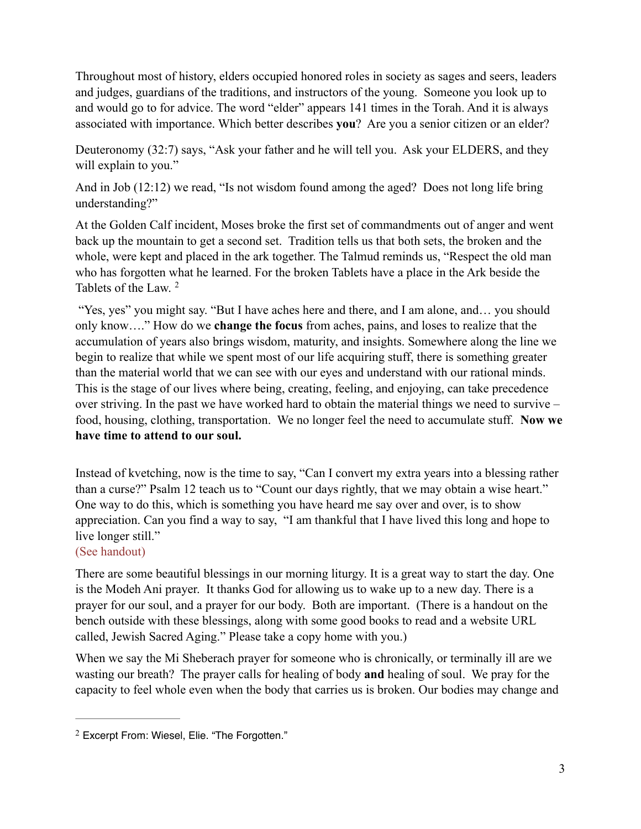Throughout most of history, elders occupied honored roles in society as sages and seers, leaders and judges, guardians of the traditions, and instructors of the young. Someone you look up to and would go to for advice. The word "elder" appears 141 times in the Torah. And it is always associated with importance. Which better describes **you**? Are you a senior citizen or an elder?

Deuteronomy (32:7) says, "Ask your father and he will tell you. Ask your ELDERS, and they will explain to you."

And in Job (12:12) we read, "Is not wisdom found among the aged? Does not long life bring understanding?"

At the Golden Calf incident, Moses broke the first set of commandments out of anger and went back up the mountain to get a second set. Tradition tells us that both sets, the broken and the whole, were kept and placed in the ark together. The Talmud reminds us, "Respect the old man who has forgotten what he learned. For the broken Tablets have a place in the Ark beside the Tablets of the Law. [2](#page-2-0)

<span id="page-2-1"></span> "Yes, yes" you might say. "But I have aches here and there, and I am alone, and… you should only know…." How do we **change the focus** from aches, pains, and loses to realize that the accumulation of years also brings wisdom, maturity, and insights. Somewhere along the line we begin to realize that while we spent most of our life acquiring stuff, there is something greater than the material world that we can see with our eyes and understand with our rational minds. This is the stage of our lives where being, creating, feeling, and enjoying, can take precedence over striving. In the past we have worked hard to obtain the material things we need to survive – food, housing, clothing, transportation. We no longer feel the need to accumulate stuff. **Now we have time to attend to our soul.** 

Instead of kvetching, now is the time to say, "Can I convert my extra years into a blessing rather than a curse?" Psalm 12 teach us to "Count our days rightly, that we may obtain a wise heart." One way to do this, which is something you have heard me say over and over, is to show appreciation. Can you find a way to say, "I am thankful that I have lived this long and hope to live longer still."

#### (See handout)

There are some beautiful blessings in our morning liturgy. It is a great way to start the day. One is the Modeh Ani prayer. It thanks God for allowing us to wake up to a new day. There is a prayer for our soul, and a prayer for our body. Both are important. (There is a handout on the bench outside with these blessings, along with some good books to read and a website URL called, Jewish Sacred Aging." Please take a copy home with you.)

When we say the Mi Sheberach prayer for someone who is chronically, or terminally ill are we wasting our breath? The prayer calls for healing of body **and** healing of soul. We pray for the capacity to feel whole even when the body that carries us is broken. Our bodies may change and

<span id="page-2-0"></span><sup>&</sup>lt;sup>[2](#page-2-1)</sup> Excerpt From: Wiesel, Elie. "The Forgotten."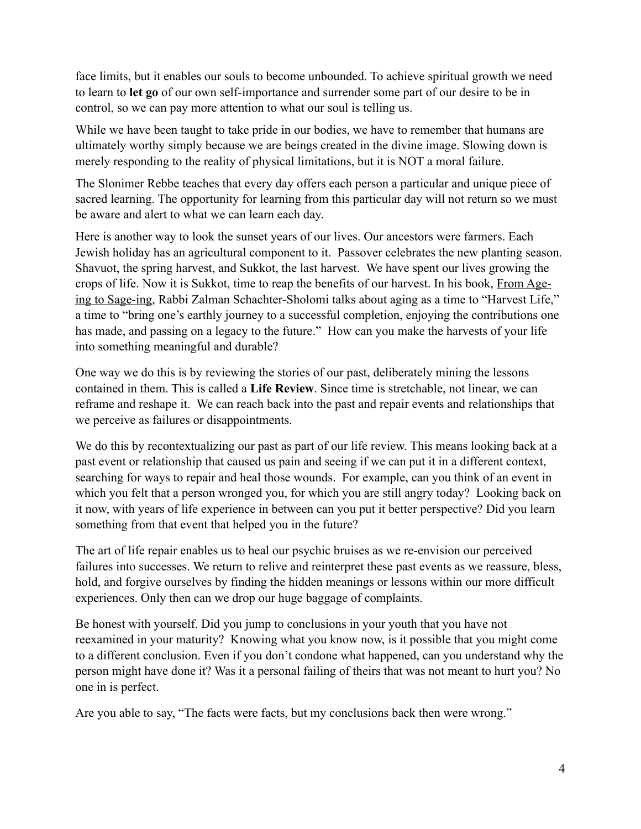face limits, but it enables our souls to become unbounded. To achieve spiritual growth we need to learn to **let go** of our own self-importance and surrender some part of our desire to be in control, so we can pay more attention to what our soul is telling us.

While we have been taught to take pride in our bodies, we have to remember that humans are ultimately worthy simply because we are beings created in the divine image. Slowing down is merely responding to the reality of physical limitations, but it is NOT a moral failure.

The Slonimer Rebbe teaches that every day offers each person a particular and unique piece of sacred learning. The opportunity for learning from this particular day will not return so we must be aware and alert to what we can learn each day.

Here is another way to look the sunset years of our lives. Our ancestors were farmers. Each Jewish holiday has an agricultural component to it. Passover celebrates the new planting season. Shavuot, the spring harvest, and Sukkot, the last harvest. We have spent our lives growing the crops of life. Now it is Sukkot, time to reap the benefits of our harvest. In his book, From Ageing to Sage-ing, Rabbi Zalman Schachter-Sholomi talks about aging as a time to "Harvest Life," a time to "bring one's earthly journey to a successful completion, enjoying the contributions one has made, and passing on a legacy to the future." How can you make the harvests of your life into something meaningful and durable?

One way we do this is by reviewing the stories of our past, deliberately mining the lessons contained in them. This is called a **Life Review**. Since time is stretchable, not linear, we can reframe and reshape it. We can reach back into the past and repair events and relationships that we perceive as failures or disappointments.

We do this by recontextualizing our past as part of our life review. This means looking back at a past event or relationship that caused us pain and seeing if we can put it in a different context, searching for ways to repair and heal those wounds. For example, can you think of an event in which you felt that a person wronged you, for which you are still angry today? Looking back on it now, with years of life experience in between can you put it better perspective? Did you learn something from that event that helped you in the future?

The art of life repair enables us to heal our psychic bruises as we re-envision our perceived failures into successes. We return to relive and reinterpret these past events as we reassure, bless, hold, and forgive ourselves by finding the hidden meanings or lessons within our more difficult experiences. Only then can we drop our huge baggage of complaints.

Be honest with yourself. Did you jump to conclusions in your youth that you have not reexamined in your maturity? Knowing what you know now, is it possible that you might come to a different conclusion. Even if you don't condone what happened, can you understand why the person might have done it? Was it a personal failing of theirs that was not meant to hurt you? No one in is perfect.

Are you able to say, "The facts were facts, but my conclusions back then were wrong."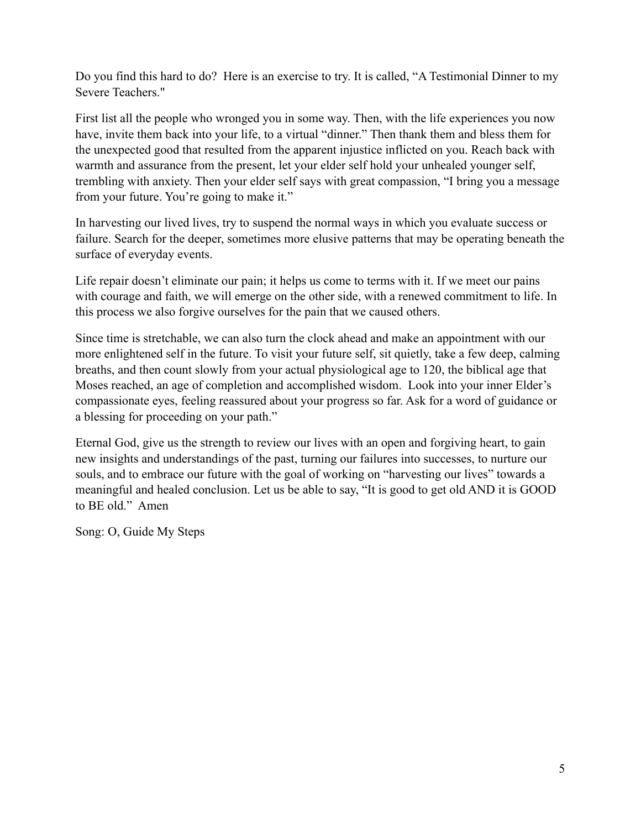Do you find this hard to do? Here is an exercise to try. It is called, "A Testimonial Dinner to my Severe Teachers."

First list all the people who wronged you in some way. Then, with the life experiences you now have, invite them back into your life, to a virtual "dinner." Then thank them and bless them for the unexpected good that resulted from the apparent injustice inflicted on you. Reach back with warmth and assurance from the present, let your elder self hold your unhealed younger self, trembling with anxiety. Then your elder self says with great compassion, "I bring you a message from your future. You're going to make it."

In harvesting our lived lives, try to suspend the normal ways in which you evaluate success or failure. Search for the deeper, sometimes more elusive patterns that may be operating beneath the surface of everyday events.

Life repair doesn't eliminate our pain; it helps us come to terms with it. If we meet our pains with courage and faith, we will emerge on the other side, with a renewed commitment to life. In this process we also forgive ourselves for the pain that we caused others.

Since time is stretchable, we can also turn the clock ahead and make an appointment with our more enlightened self in the future. To visit your future self, sit quietly, take a few deep, calming breaths, and then count slowly from your actual physiological age to 120, the biblical age that Moses reached, an age of completion and accomplished wisdom. Look into your inner Elder's compassionate eyes, feeling reassured about your progress so far. Ask for a word of guidance or a blessing for proceeding on your path."

Eternal God, give us the strength to review our lives with an open and forgiving heart, to gain new insights and understandings of the past, turning our failures into successes, to nurture our souls, and to embrace our future with the goal of working on "harvesting our lives" towards a meaningful and healed conclusion. Let us be able to say, "It is good to get old AND it is GOOD to BE old." Amen

Song: O, Guide My Steps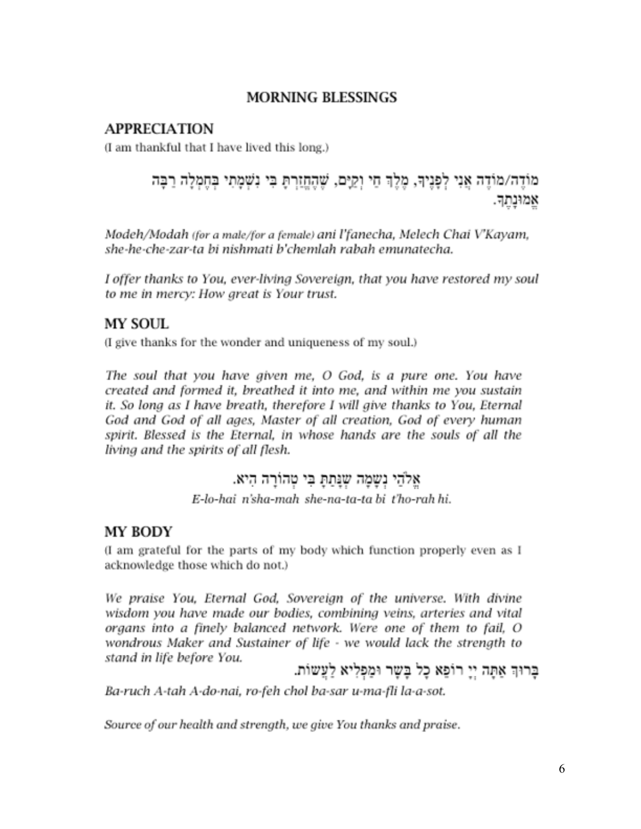#### **MORNING BLESSINGS**

### **APPRECIATION**

(I am thankful that I have lived this long.)

# מוֹדֵה/מוֹדֵה אֵנִי לְפַנֵיךְ, מֵלֵךְ חֵי וְקֵיֵם, שַׁהָחַזֵרְתָּ בִּי נִשְׁמַתִי בִּחֲמִלָּה רַבָּה אמונתד

Modeh/Modah (for a male/for a female) ani l'fanecha, Melech Chai V'Kayam, she-he-che-zar-ta bi nishmati b'chemlah rabah emunatecha.

I offer thanks to You, ever-living Sovereign, that you have restored my soul to me in mercy: How great is Your trust.

# **MY SOUL**

(I give thanks for the wonder and uniqueness of my soul.)

The soul that you have given me, O God, is a pure one. You have created and formed it, breathed it into me, and within me you sustain it. So long as I have breath, therefore I will give thanks to You, Eternal God and God of all ages, Master of all creation, God of every human spirit. Blessed is the Eternal, in whose hands are the souls of all the living and the spirits of all flesh.

# אַלֹהֵי נשמה שנּתַתְּ בִּי טְהוֹרָה הִיא.

E-lo-hai n'sha-mah she-na-ta-ta bi t'ho-rah hi.

# MY BODY

(I am grateful for the parts of my body which function properly even as I acknowledge those which do not.)

We praise You, Eternal God, Sovereign of the universe. With divine wisdom you have made our bodies, combining veins, arteries and vital organs into a finely balanced network. Were one of them to fail, O wondrous Maker and Sustainer of life - we would lack the strength to stand in life before You.

# בְּרוּךְ אַתָּה יְיָ רוֹפַא כָל בָּשֶׁר וּמַפְלִיא לַעֲשוֹת.

Ba-ruch A-tah A-do-nai, ro-feh chol ba-sar u-ma-fli la-a-sot.

Source of our health and strength, we give You thanks and praise.